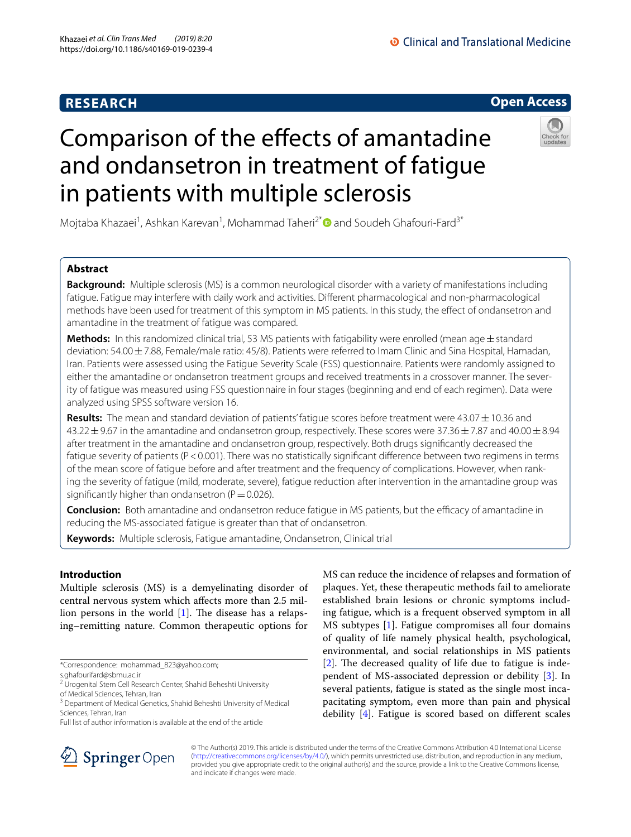# **RESEARCH**

# O Clinical and Translational Medicine

# **Open Access**



# Comparison of the efects of amantadine and ondansetron in treatment of fatigue in patients with multiple sclerosis

Mojtaba Khazaei<sup>1</sup>, Ashkan Karevan<sup>1</sup>, Mohammad Taheri<sup>2\*</sup> and Soudeh Ghafouri-Fard<sup>3\*</sup>

# **Abstract**

**Background:** Multiple sclerosis (MS) is a common neurological disorder with a variety of manifestations including fatigue. Fatigue may interfere with daily work and activities. Diferent pharmacological and non-pharmacological methods have been used for treatment of this symptom in MS patients. In this study, the efect of ondansetron and amantadine in the treatment of fatigue was compared.

**Methods:** In this randomized clinical trial, 53 MS patients with fatigability were enrolled (mean age±standard deviation: 54.00±7.88, Female/male ratio: 45/8). Patients were referred to Imam Clinic and Sina Hospital, Hamadan, Iran. Patients were assessed using the Fatigue Severity Scale (FSS) questionnaire. Patients were randomly assigned to either the amantadine or ondansetron treatment groups and received treatments in a crossover manner. The severity of fatigue was measured using FSS questionnaire in four stages (beginning and end of each regimen). Data were analyzed using SPSS software version 16.

**Results:** The mean and standard deviation of patients' fatigue scores before treatment were 43.07  $\pm$  10.36 and  $43.22 \pm 9.67$  in the amantadine and ondansetron group, respectively. These scores were 37.36  $\pm$  7.87 and 40.00  $\pm$  8.94 after treatment in the amantadine and ondansetron group, respectively. Both drugs signifcantly decreased the fatigue severity of patients (P<0.001). There was no statistically significant difference between two regimens in terms of the mean score of fatigue before and after treatment and the frequency of complications. However, when rank‑ ing the severity of fatigue (mild, moderate, severe), fatigue reduction after intervention in the amantadine group was significantly higher than ondansetron ( $P=0.026$ ).

**Conclusion:** Both amantadine and ondansetron reduce fatigue in MS patients, but the efficacy of amantadine in reducing the MS-associated fatigue is greater than that of ondansetron.

**Keywords:** Multiple sclerosis, Fatigue amantadine, Ondansetron, Clinical trial

# **Introduction**

Multiple sclerosis (MS) is a demyelinating disorder of central nervous system which afects more than 2.5 million persons in the world  $[1]$  $[1]$ . The disease has a relapsing–remitting nature. Common therapeutic options for

\*Correspondence: mohammad\_823@yahoo.com;

Full list of author information is available at the end of the article



MS can reduce the incidence of relapses and formation of plaques. Yet, these therapeutic methods fail to ameliorate established brain lesions or chronic symptoms including fatigue, which is a frequent observed symptom in all MS subtypes [[1\]](#page-3-0). Fatigue compromises all four domains of quality of life namely physical health, psychological, environmental, and social relationships in MS patients  $[2]$  $[2]$ . The decreased quality of life due to fatigue is independent of MS-associated depression or debility [[3\]](#page-3-2). In several patients, fatigue is stated as the single most incapacitating symptom, even more than pain and physical debility [[4](#page-3-3)]. Fatigue is scored based on diferent scales

© The Author(s) 2019. This article is distributed under the terms of the Creative Commons Attribution 4.0 International License [\(http://creativecommons.org/licenses/by/4.0/\)](http://creativecommons.org/licenses/by/4.0/), which permits unrestricted use, distribution, and reproduction in any medium, provided you give appropriate credit to the original author(s) and the source, provide a link to the Creative Commons license, and indicate if changes were made.

s.ghafourifard@sbmu.ac.ir

<sup>&</sup>lt;sup>2</sup> Urogenital Stem Cell Research Center, Shahid Beheshti University of Medical Sciences, Tehran, Iran

<sup>&</sup>lt;sup>3</sup> Department of Medical Genetics, Shahid Beheshti University of Medical Sciences, Tehran, Iran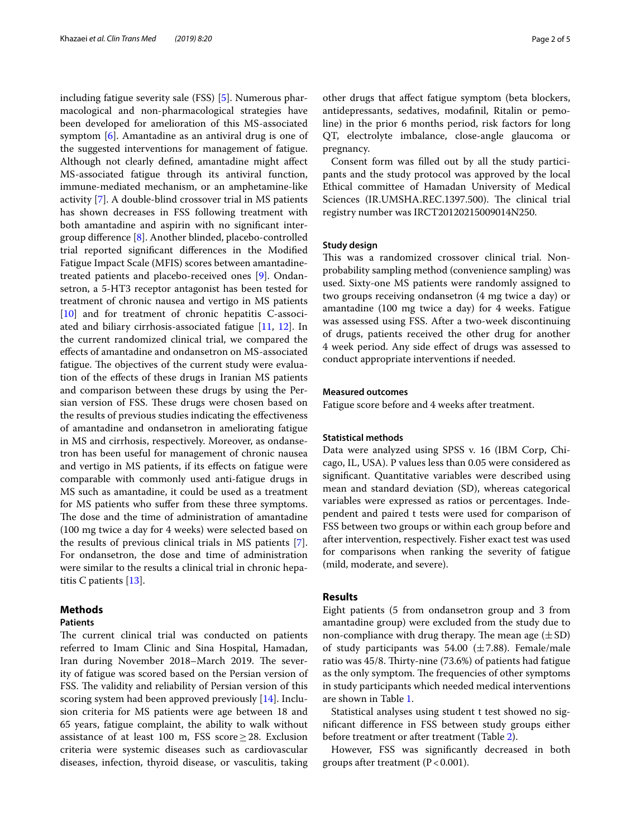including fatigue severity sale (FSS) [[5\]](#page-3-4). Numerous pharmacological and non-pharmacological strategies have been developed for amelioration of this MS-associated symptom [[6\]](#page-3-5). Amantadine as an antiviral drug is one of the suggested interventions for management of fatigue. Although not clearly defned, amantadine might afect MS-associated fatigue through its antiviral function, immune-mediated mechanism, or an amphetamine-like activity [\[7](#page-3-6)]. A double-blind crossover trial in MS patients has shown decreases in FSS following treatment with both amantadine and aspirin with no signifcant intergroup diference [[8\]](#page-3-7). Another blinded, placebo-controlled trial reported signifcant diferences in the Modifed Fatigue Impact Scale (MFIS) scores between amantadinetreated patients and placebo-received ones [\[9](#page-3-8)]. Ondansetron, a 5-HT3 receptor antagonist has been tested for treatment of chronic nausea and vertigo in MS patients [[10\]](#page-3-9) and for treatment of chronic hepatitis C-associated and biliary cirrhosis-associated fatigue [[11,](#page-3-10) [12\]](#page-3-11). In the current randomized clinical trial, we compared the efects of amantadine and ondansetron on MS-associated fatigue. The objectives of the current study were evaluation of the efects of these drugs in Iranian MS patients and comparison between these drugs by using the Persian version of FSS. These drugs were chosen based on the results of previous studies indicating the efectiveness of amantadine and ondansetron in ameliorating fatigue in MS and cirrhosis, respectively. Moreover, as ondansetron has been useful for management of chronic nausea and vertigo in MS patients, if its efects on fatigue were comparable with commonly used anti-fatigue drugs in MS such as amantadine, it could be used as a treatment for MS patients who sufer from these three symptoms. The dose and the time of administration of amantadine (100 mg twice a day for 4 weeks) were selected based on the results of previous clinical trials in MS patients [\[7](#page-3-6)]. For ondansetron, the dose and time of administration were similar to the results a clinical trial in chronic hepatitis C patients [[13\]](#page-3-12).

# **Methods**

# **Patients**

The current clinical trial was conducted on patients referred to Imam Clinic and Sina Hospital, Hamadan, Iran during November 2018–March 2019. The severity of fatigue was scored based on the Persian version of FSS. The validity and reliability of Persian version of this scoring system had been approved previously [\[14](#page-3-13)]. Inclusion criteria for MS patients were age between 18 and 65 years, fatigue complaint, the ability to walk without assistance of at least 100 m, FSS score  $\geq$  28. Exclusion criteria were systemic diseases such as cardiovascular diseases, infection, thyroid disease, or vasculitis, taking other drugs that afect fatigue symptom (beta blockers, antidepressants, sedatives, modafnil, Ritalin or pemoline) in the prior 6 months period, risk factors for long QT, electrolyte imbalance, close-angle glaucoma or pregnancy.

Consent form was flled out by all the study participants and the study protocol was approved by the local Ethical committee of Hamadan University of Medical Sciences (IR.UMSHA.REC.1397.500). The clinical trial registry number was IRCT20120215009014N250.

## **Study design**

This was a randomized crossover clinical trial. Nonprobability sampling method (convenience sampling) was used. Sixty-one MS patients were randomly assigned to two groups receiving ondansetron (4 mg twice a day) or amantadine (100 mg twice a day) for 4 weeks. Fatigue was assessed using FSS. After a two-week discontinuing of drugs, patients received the other drug for another 4 week period. Any side efect of drugs was assessed to conduct appropriate interventions if needed.

## **Measured outcomes**

Fatigue score before and 4 weeks after treatment.

## **Statistical methods**

Data were analyzed using SPSS v. 16 (IBM Corp, Chicago, IL, USA). P values less than 0.05 were considered as signifcant. Quantitative variables were described using mean and standard deviation (SD), whereas categorical variables were expressed as ratios or percentages. Independent and paired t tests were used for comparison of FSS between two groups or within each group before and after intervention, respectively. Fisher exact test was used for comparisons when ranking the severity of fatigue (mild, moderate, and severe).

## **Results**

Eight patients (5 from ondansetron group and 3 from amantadine group) were excluded from the study due to non-compliance with drug therapy. The mean age  $(\pm SD)$ of study participants was 54.00  $(\pm 7.88)$ . Female/male ratio was 45/8. Thirty-nine (73.6%) of patients had fatigue as the only symptom. The frequencies of other symptoms in study participants which needed medical interventions are shown in Table [1.](#page-2-0)

Statistical analyses using student t test showed no signifcant diference in FSS between study groups either before treatment or after treatment (Table [2\)](#page-2-1).

However, FSS was signifcantly decreased in both groups after treatment ( $P < 0.001$ ).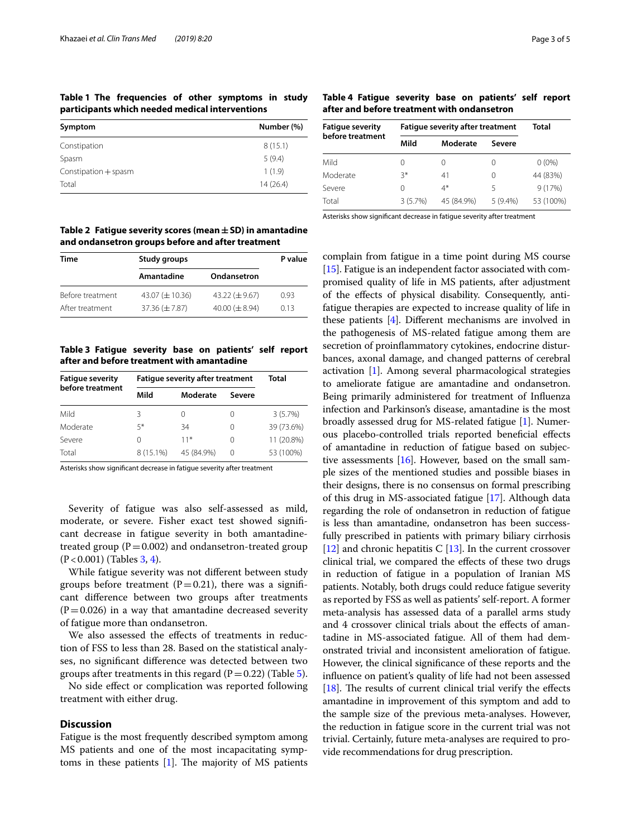<span id="page-2-0"></span>**Table 1 The frequencies of other symptoms in study participants which needed medical interventions**

| Symptom                | Number (%) |
|------------------------|------------|
| Constipation           | 8(15.1)    |
| Spasm                  | 5(9.4)     |
| Constipation $+$ spasm | 1(1.9)     |
| Total                  | 14(26.4)   |

<span id="page-2-1"></span>**Table 2 Fatigue severity scores (mean±SD) in amantadine and ondansetron groups before and after treatment**

| Time             | Study groups         | P value              |      |
|------------------|----------------------|----------------------|------|
|                  | Amantadine           | Ondansetron          |      |
| Before treatment | 43.07 $(\pm 10.36)$  | 43.22 $(\pm 9.67)$   | 0.93 |
| After treatment  | $37.36 \ (\pm 7.87)$ | $40.00 \ (\pm 8.94)$ | 013  |

<span id="page-2-2"></span>**Table 3 Fatigue severity base on patients' self report after and before treatment with amantadine**

| <b>Fatigue severity</b> | <b>Fatigue severity after treatment</b> |            |                  | Total      |
|-------------------------|-----------------------------------------|------------|------------------|------------|
| before treatment        | Mild                                    | Moderate   | Severe           |            |
| Mild                    | 3                                       |            | $\left( \right)$ | 3(5.7%)    |
| Moderate                | $5*$                                    | 34         | 0                | 39 (73.6%) |
| Severe                  | 0                                       | $11*$      | 0                | 11 (20.8%) |
| Total                   | 8 (15.1%)                               | 45 (84.9%) | 0                | 53 (100%)  |

Asterisks show signifcant decrease in fatigue severity after treatment

Severity of fatigue was also self-assessed as mild, moderate, or severe. Fisher exact test showed signifcant decrease in fatigue severity in both amantadinetreated group ( $P = 0.002$ ) and ondansetron-treated group  $(P < 0.001)$  (Tables [3](#page-2-2), [4\)](#page-2-3).

While fatigue severity was not diferent between study groups before treatment  $(P=0.21)$ , there was a significant diference between two groups after treatments  $(P=0.026)$  in a way that amantadine decreased severity of fatigue more than ondansetron.

We also assessed the effects of treatments in reduction of FSS to less than 28. Based on the statistical analyses, no signifcant diference was detected between two groups after treatments in this regard ( $P=0.22$ ) (Table [5](#page-3-14)).

No side efect or complication was reported following treatment with either drug.

## **Discussion**

Fatigue is the most frequently described symptom among MS patients and one of the most incapacitating symptoms in these patients  $[1]$ . The majority of MS patients

<span id="page-2-3"></span>**Table 4 Fatigue severity base on patients' self report after and before treatment with ondansetron**

| <b>Fatique severity</b><br>before treatment | <b>Fatique severity after treatment</b> |                  |                  | Total     |
|---------------------------------------------|-----------------------------------------|------------------|------------------|-----------|
|                                             | Mild                                    | Moderate         | Severe           |           |
| Mild                                        | 0                                       | $\left( \right)$ |                  | $0(0\%)$  |
| Moderate                                    | $3*$                                    | 41               | $\left( \right)$ | 44 (83%)  |
| Severe                                      | 0                                       | $4*$             | 5                | 9(17%)    |
| Total                                       | 3(5.7%)                                 | 45 (84.9%)       | $5(9.4\%)$       | 53 (100%) |

Asterisks show signifcant decrease in fatigue severity after treatment

complain from fatigue in a time point during MS course [[15](#page-4-0)]. Fatigue is an independent factor associated with compromised quality of life in MS patients, after adjustment of the efects of physical disability. Consequently, antifatigue therapies are expected to increase quality of life in these patients [\[4](#page-3-3)]. Diferent mechanisms are involved in the pathogenesis of MS-related fatigue among them are secretion of proinfammatory cytokines, endocrine disturbances, axonal damage, and changed patterns of cerebral activation [\[1\]](#page-3-0). Among several pharmacological strategies to ameliorate fatigue are amantadine and ondansetron. Being primarily administered for treatment of Infuenza infection and Parkinson's disease, amantadine is the most broadly assessed drug for MS-related fatigue [\[1](#page-3-0)]. Numerous placebo-controlled trials reported benefcial efects of amantadine in reduction of fatigue based on subjective assessments [[16](#page-4-1)]. However, based on the small sample sizes of the mentioned studies and possible biases in their designs, there is no consensus on formal prescribing of this drug in MS-associated fatigue [\[17\]](#page-4-2). Although data regarding the role of ondansetron in reduction of fatigue is less than amantadine, ondansetron has been successfully prescribed in patients with primary biliary cirrhosis [[12](#page-3-11)] and chronic hepatitis C [[13](#page-3-12)]. In the current crossover clinical trial, we compared the efects of these two drugs in reduction of fatigue in a population of Iranian MS patients. Notably, both drugs could reduce fatigue severity as reported by FSS as well as patients' self-report. A former meta-analysis has assessed data of a parallel arms study and 4 crossover clinical trials about the effects of amantadine in MS-associated fatigue. All of them had demonstrated trivial and inconsistent amelioration of fatigue. However, the clinical signifcance of these reports and the infuence on patient's quality of life had not been assessed [ $18$ ]. The results of current clinical trial verify the effects amantadine in improvement of this symptom and add to the sample size of the previous meta-analyses. However, the reduction in fatigue score in the current trial was not trivial. Certainly, future meta-analyses are required to provide recommendations for drug prescription.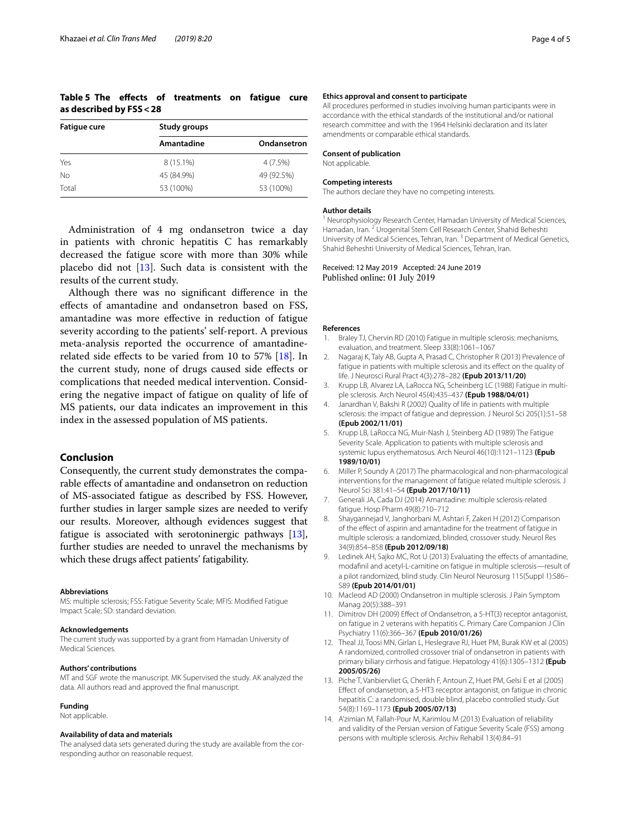# <span id="page-3-14"></span>**Table 5 The efects of treatments on fatigue cure as described by FSS<28**

| <b>Fatigue cure</b> | Study groups |             |  |
|---------------------|--------------|-------------|--|
|                     | Amantadine   | Ondansetron |  |
| Yes                 | 8 (15.1%)    | 4 (7.5%)    |  |
| No                  | 45 (84.9%)   | 49 (92.5%)  |  |
| Total               | 53 (100%)    | 53 (100%)   |  |

Administration of 4 mg ondansetron twice a day in patients with chronic hepatitis C has remarkably decreased the fatigue score with more than 30% while placebo did not  $[13]$  $[13]$ . Such data is consistent with the results of the current study.

Although there was no signifcant diference in the efects of amantadine and ondansetron based on FSS, amantadine was more efective in reduction of fatigue severity according to the patients' self-report. A previous meta-analysis reported the occurrence of amantadinerelated side efects to be varied from 10 to 57% [\[18\]](#page-4-3). In the current study, none of drugs caused side efects or complications that needed medical intervention. Considering the negative impact of fatigue on quality of life of MS patients, our data indicates an improvement in this index in the assessed population of MS patients.

## **Conclusion**

Consequently, the current study demonstrates the comparable efects of amantadine and ondansetron on reduction of MS-associated fatigue as described by FSS. However, further studies in larger sample sizes are needed to verify our results. Moreover, although evidences suggest that fatigue is associated with serotoninergic pathways [[13](#page-3-12)], further studies are needed to unravel the mechanisms by which these drugs afect patients' fatigability.

### **Abbreviations**

MS: multiple sclerosis; FSS: Fatigue Severity Scale; MFIS: Modifed Fatigue Impact Scale; SD: standard deviation.

#### **Acknowledgements**

The current study was supported by a grant from Hamadan University of Medical Sciences.

#### **Authors' contributions**

MT and SGF wrote the manuscript. MK Supervised the study. AK analyzed the data. All authors read and approved the fnal manuscript.

#### **Funding**

Not applicable.

#### **Availability of data and materials**

The analysed data sets generated during the study are available from the corresponding author on reasonable request.

#### **Ethics approval and consent to participate**

All procedures performed in studies involving human participants were in accordance with the ethical standards of the institutional and/or national research committee and with the 1964 Helsinki declaration and its later amendments or comparable ethical standards.

#### **Consent of publication**

Not applicable.

#### **Competing interests**

The authors declare they have no competing interests.

#### **Author details**

<sup>1</sup> Neurophysiology Research Center, Hamadan University of Medical Sciences, Hamadan, Iran. <sup>2</sup> Urogenital Stem Cell Research Center, Shahid Beheshti University of Medical Sciences, Tehran, Iran. 3 Department of Medical Genetics, Shahid Beheshti University of Medical Sciences, Tehran, Iran.

Received: 12 May 2019 Accepted: 24 June 2019 Published online: 01 July 2019

#### **References**

- <span id="page-3-0"></span>1. Braley TJ, Chervin RD (2010) Fatigue in multiple sclerosis: mechanisms, evaluation, and treatment. Sleep 33(8):1061–1067
- <span id="page-3-1"></span>2. Nagaraj K, Taly AB, Gupta A, Prasad C, Christopher R (2013) Prevalence of fatigue in patients with multiple sclerosis and its efect on the quality of life. J Neurosci Rural Pract 4(3):278–282 **(Epub 2013/11/20)**
- <span id="page-3-2"></span>Krupp LB, Alvarez LA, LaRocca NG, Scheinberg LC (1988) Fatigue in multiple sclerosis. Arch Neurol 45(4):435–437 **(Epub 1988/04/01)**
- <span id="page-3-3"></span>4. Janardhan V, Bakshi R (2002) Quality of life in patients with multiple sclerosis: the impact of fatigue and depression. J Neurol Sci 205(1):51–58 **(Epub 2002/11/01)**
- <span id="page-3-4"></span>5. Krupp LB, LaRocca NG, Muir-Nash J, Steinberg AD (1989) The Fatigue Severity Scale. Application to patients with multiple sclerosis and systemic lupus erythematosus. Arch Neurol 46(10):1121–1123 **(Epub 1989/10/01)**
- <span id="page-3-5"></span>6. Miller P, Soundy A (2017) The pharmacological and non-pharmacological interventions for the management of fatigue related multiple sclerosis. J Neurol Sci 381:41–54 **(Epub 2017/10/11)**
- <span id="page-3-6"></span>7. Generali JA, Cada DJ (2014) Amantadine: multiple sclerosis-related fatigue. Hosp Pharm 49(8):710–712
- <span id="page-3-7"></span>8. Shaygannejad V, Janghorbani M, Ashtari F, Zakeri H (2012) Comparison of the efect of aspirin and amantadine for the treatment of fatigue in multiple sclerosis: a randomized, blinded, crossover study. Neurol Res 34(9):854–858 **(Epub 2012/09/18)**
- <span id="page-3-8"></span>9. Ledinek AH, Sajko MC, Rot U (2013) Evaluating the effects of amantadine, modafnil and acetyl-L-carnitine on fatigue in multiple sclerosis—result of a pilot randomized, blind study. Clin Neurol Neurosurg 115(Suppl 1):S86– S89 **(Epub 2014/01/01)**
- <span id="page-3-9"></span>10. Macleod AD (2000) Ondansetron in multiple sclerosis. J Pain Symptom Manag 20(5):388–391
- <span id="page-3-10"></span>11. Dimitrov DH (2009) Efect of Ondansetron, a 5-HT(3) receptor antagonist, on fatigue in 2 veterans with hepatitis C. Primary Care Companion J Clin Psychiatry 11(6):366–367 **(Epub 2010/01/26)**
- <span id="page-3-11"></span>12. Theal JJ, Toosi MN, Girlan L, Heslegrave RJ, Huet PM, Burak KW et al (2005) A randomized, controlled crossover trial of ondansetron in patients with primary biliary cirrhosis and fatigue. Hepatology 41(6):1305–1312 **(Epub 2005/05/26)**
- <span id="page-3-12"></span>13. Piche T, Vanbiervliet G, Cherikh F, Antoun Z, Huet PM, Gelsi E et al (2005) Efect of ondansetron, a 5-HT3 receptor antagonist, on fatigue in chronic hepatitis C: a randomised, double blind, placebo controlled study. Gut 54(8):1169–1173 **(Epub 2005/07/13)**
- <span id="page-3-13"></span>14. A'zimian M, Fallah-Pour M, Karimlou M (2013) Evaluation of reliability and validity of the Persian version of Fatigue Severity Scale (FSS) among persons with multiple sclerosis. Archiv Rehabil 13(4):84–91